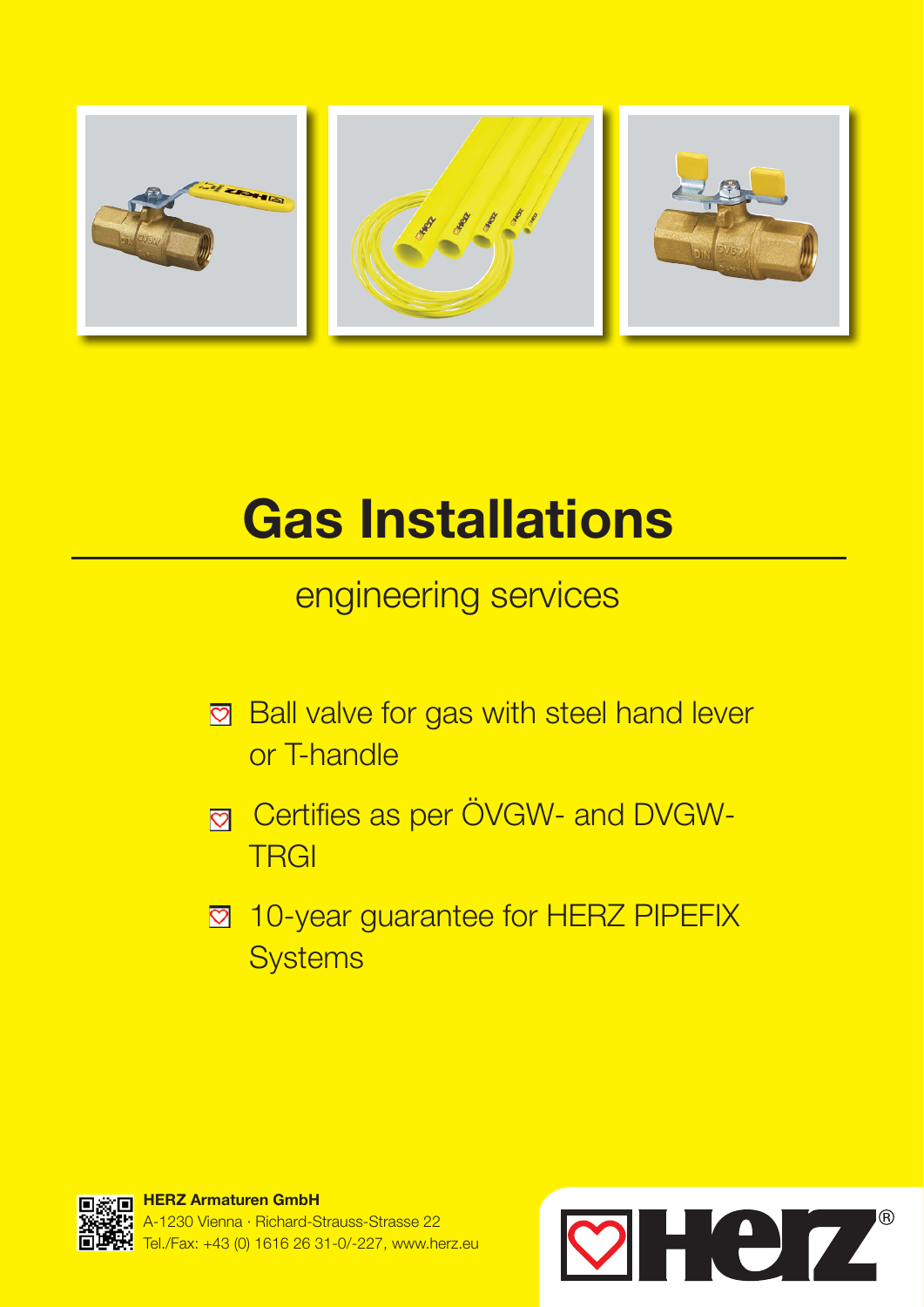

# Gas Installations

## engineering services

- **Ball valve for gas with steel hand lever** or T-handle
- **<sub>M</sub>** Certifies as per ÖVGW- and DVGW-**TRGI**
- **2** 10-year guarantee for HERZ PIPEFIX **Systems**